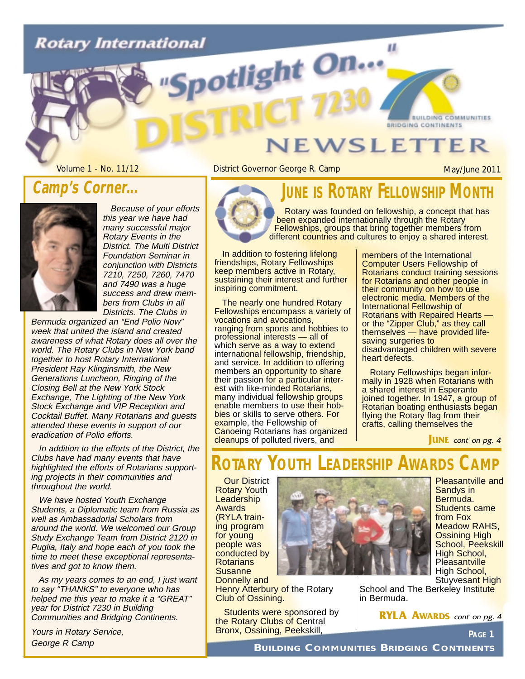# **Rotary International** otlight On...

#### **Camp's Corner...**

this year we have had many successful major Rotary Events in the District. The Multi District Foundation Seminar in conjunction with Districts 7210, 7250, 7260, 7470 and 7490 was a huge success and drew members from Clubs in all Districts. The Clubs in

Because of your efforts

Bermuda organized an "End Polio Now" week that united the island and created awareness of what Rotary does all over the world. The Rotary Clubs in New York band together to host Rotary International President Ray Klinginsmith, the New Generations Luncheon, Ringing of the Closing Bell at the New York Stock Exchange, The Lighting of the New York Stock Exchange and VIP Reception and Cocktail Buffet. Many Rotarians and guests attended these events in support of our eradication of Polio efforts.

In addition to the efforts of the District, the Clubs have had many events that have highlighted the efforts of Rotarians supporting projects in their communities and throughout the world.

We have hosted Youth Exchange Students, a Diplomatic team from Russia as well as Ambassadorial Scholars from around the world. We welcomed our Group Study Exchange Team from District 2120 in Puglia, Italy and hope each of you took the time to meet these exceptional representatives and got to know them.

As my years comes to an end, I just want to say "THANKS" to everyone who has helped me this year to make it a "GREAT" year for District 7230 in Building Communities and Bridging Continents.

Yours in Rotary Service, George R Camp

## **JEWSLETTER**

Volume 1 - No. 11/12 **District Governor George R. Camp** May/June 2011

**BUILDING COMMUNITIES** 

**BRIDGING CONTINENTS** 



### **JUNE IS ROTARY FELLOWSHIP M**

п.

Rotary was founded on fellowship, a concept that has been expanded internationally through the Rotary Fellowships, groups that bring together members from different countries and cultures to enjoy a shared interest.

In addition to fostering lifelong friendships, Rotary Fellowships keep members active in Rotary, sustaining their interest and further inspiring commitment.

The nearly one hundred Rotary Fellowships encompass a variety of vocations and avocations, ranging from sports and hobbies to professional interests — all of which serve as a way to extend international fellowship, friendship, and service. In addition to offering members an opportunity to share their passion for a particular interest with like-minded Rotarians, many individual fellowship groups enable members to use their hobbies or skills to serve others. For example, the Fellowship of **Canoeing Rotarians has organized** cleanups of polluted rivers, and

members of the International Computer Users Fellowship of Rotarians conduct training sessions for Rotarians and other people in their community on how to use electronic media. Members of the International Fellowship of Rotarians with Repaired Hearts or the "Zipper Club," as they call themselves — have provided lifesaving surgeries to disadvantaged children with severe heart defects.

Rotary Fellowships began informally in 1928 when Rotarians with a shared interest in Esperanto joined together. In 1947, a group of Rotarian boating enthusiasts began flying the Rotary flag from their crafts, calling themselves the

**JUNE** cont' on pg. 4

### **ROTARY YOUTH LEADERSHIP AWARDS**

**Our District** Rotary Youth **Leadership** Awards (RYLA training program for young people was conducted by **Rotarians Susanne** Donnelly and **Henry Atterbury of the Rotary** Club of Ossining.

**Students were sponsored by** the Rotary Clubs of Central Bronx, Ossining, Peekskill,



Pleasantville and Sandys in Bermuda. Students came from Fox Meadow RAHS, Ossining High School, Peekskill High School, **Pleasantville** High School,

Stuyvesant High School and The Berkeley Institute in Bermuda.

**RYLA AWARDS** cont' on pg. 4

**PAGE 1**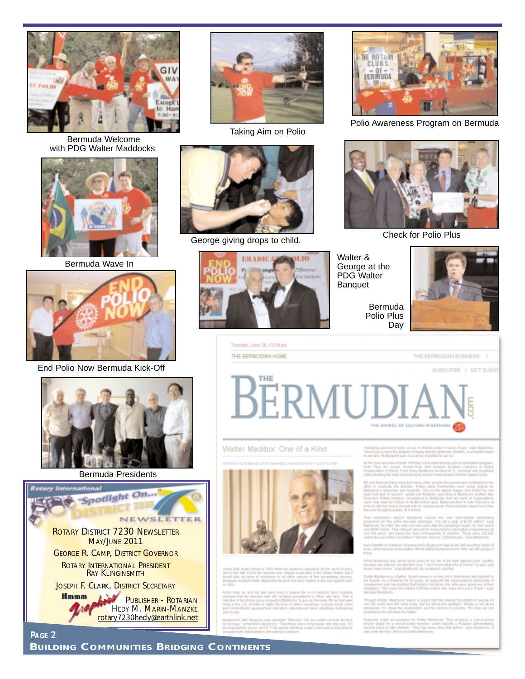

Bermuda Welcome with PDG Walter Maddocks



Bermuda Wave In



End Polio Now Bermuda Kick-Off









Taking Aim on Polio



Check for Polio Plus<br>
George giving drops to child.





Polio Awareness Program on Bermuda



Walter & George at the PDG Walter Banquet

> Bermuda Polio Plus Day



THE BERMUDIAN BUSINESS |

Tuesday, June 28, 12:04 pm THE BERMUDIAN HOME

SUBSCRIBE | GIFT SUBSO BERMUDI THE SOURCE OF CULTURE IN BERNUOL

Walter Maddox: One of a Kind



tate 1970s the disease was virtually

.<br>Yelletty bar partiet of polis scrain in children under 3 years of app." says Maddocks.<br>Yeal if you've seen the pictures of these tworlify defensed stribber, you enabled meet<br>to ask why As Margaret said, it's past too imp

n askring vanangen heer, in planete te behanden gemeente geleërmoggebor<br>As Paul, the claps showed that the behand that behander massed<br>Pale Paul, the claps: showed that their behand that<br>massparers in linear, from their ki

of countries including India, Egypt and Nigeria are still reporting to

hile Maddocks frau spent many years of his life in the fight again<br>rease her clemed his attention now. 'I don't know what kind of can<br>out have canser," says Maddocks. No complaint Just fact.

Mode is a fighter, finantiminey is writing Mr's:<br>As a Ratarian for 50 years, fie supports the or<br>in and has instituted hollowing links family His w<br>filte lines the mastra of Robin before the kine

sy. Maddocks leaves a legacy that has beloved throsse<br>If and still does loday. But he shuns the spollight '75<br>Is about the regardation and the senior it provides.

more as exception for more securities, and<br>spot to the children "fleet semiler, which depute<br>spot to the children "fleet had never done that b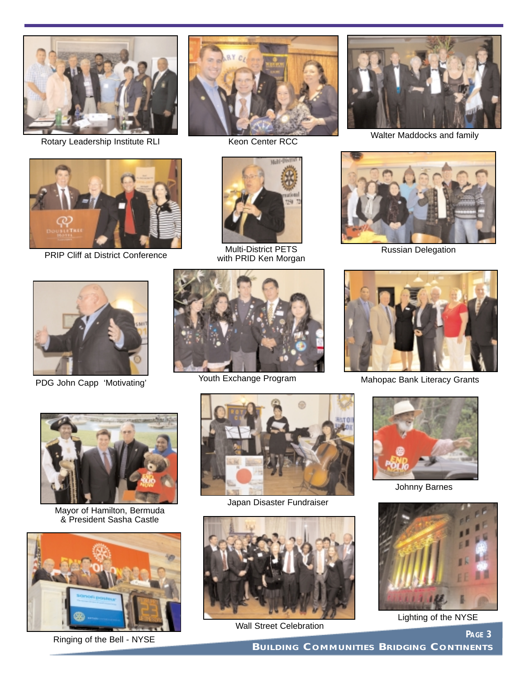

Rotary Leadership Institute RLI



PRIP Cliff at District Conference



Keon Center RCC



Multi-District PETS with PRID Ken Morgan



Walter Maddocks and family



Russian Delegation



PDG John Capp 'Motivating'



Youth Exchange Program



Mahopac Bank Literacy Grants



Mayor of Hamilton, Bermuda & President Sasha Castle



Ringing of the Bell - NYSE



Japan Disaster Fundraiser



Wall Street Celebration



Johnny Barnes



Lighting of the NYSE

**PAGE 3**